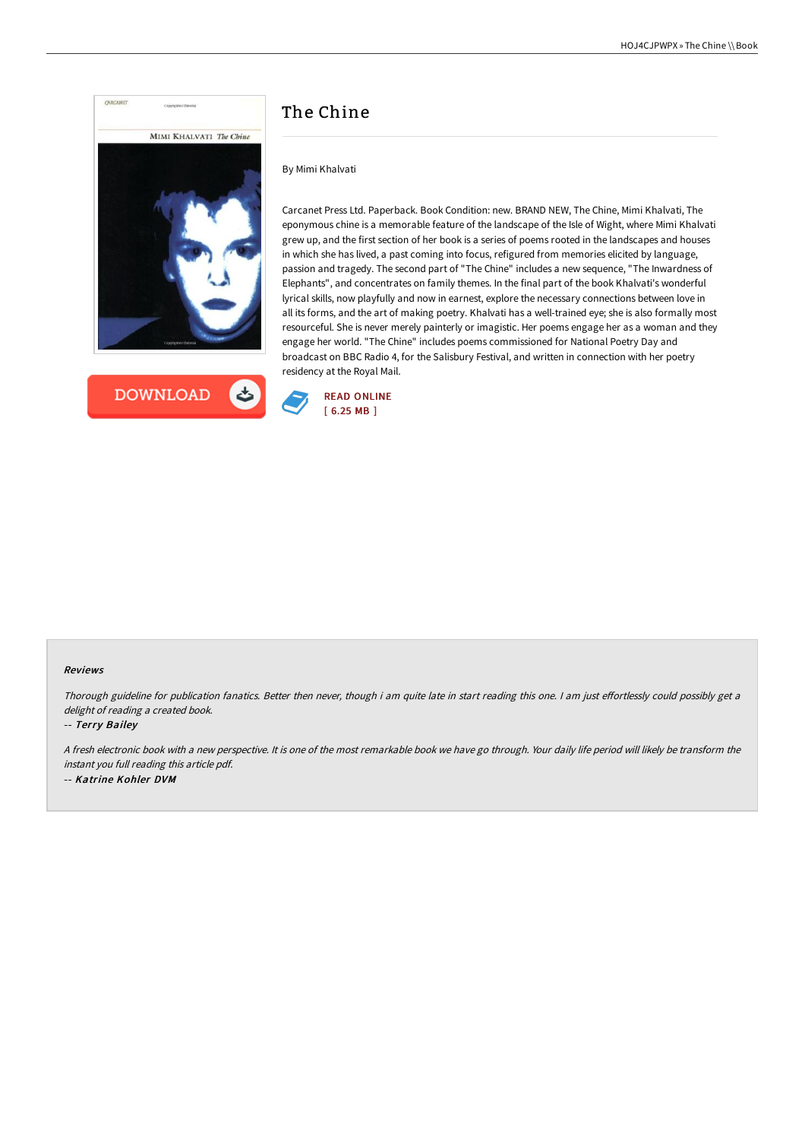

## **DOWNLOAD** ٹے

# The Chine

By Mimi Khalvati

Carcanet Press Ltd. Paperback. Book Condition: new. BRAND NEW, The Chine, Mimi Khalvati, The eponymous chine is a memorable feature of the landscape of the Isle of Wight, where Mimi Khalvati grew up, and the first section of her book is a series of poems rooted in the landscapes and houses in which she has lived, a past coming into focus, refigured from memories elicited by language, passion and tragedy. The second part of "The Chine" includes a new sequence, "The Inwardness of Elephants", and concentrates on family themes. In the final part of the book Khalvati's wonderful lyrical skills, now playfully and now in earnest, explore the necessary connections between love in all its forms, and the art of making poetry. Khalvati has a well-trained eye; she is also formally most resourceful. She is never merely painterly or imagistic. Her poems engage her as a woman and they engage her world. "The Chine" includes poems commissioned for National Poetry Day and broadcast on BBC Radio 4, for the Salisbury Festival, and written in connection with her poetry residency at the Royal Mail.



#### Reviews

Thorough guideline for publication fanatics. Better then never, though i am quite late in start reading this one. I am just effortlessly could possibly get a delight of reading <sup>a</sup> created book.

-- Terry Bailey

<sup>A</sup> fresh electronic book with <sup>a</sup> new perspective. It is one of the most remarkable book we have go through. Your daily life period will likely be transform the instant you full reading this article pdf. -- Katrine Kohler DVM